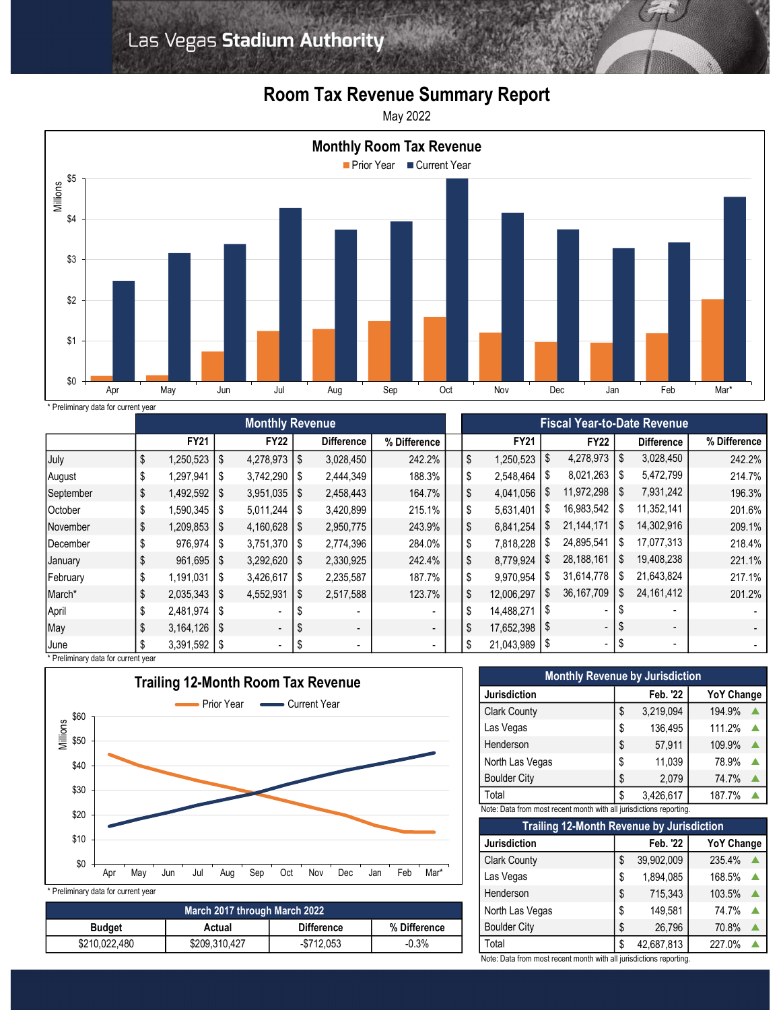

## Room Tax Revenue Summary Report

May 2022



\* Preliminary data for current year

|           | <b>I</b> committed y data for carrent year<br><b>Monthly Revenue</b> |                    |     |                  |            |                          |                | <b>Fiscal Year-to-Date Revenue</b> |             |      |              |    |                          |              |
|-----------|----------------------------------------------------------------------|--------------------|-----|------------------|------------|--------------------------|----------------|------------------------------------|-------------|------|--------------|----|--------------------------|--------------|
|           |                                                                      |                    |     |                  |            |                          |                |                                    |             |      |              |    |                          |              |
|           |                                                                      | <b>FY21</b>        |     | <b>FY22</b>      |            | <b>Difference</b>        | % Difference   |                                    | <b>FY21</b> |      | <b>FY22</b>  |    | <b>Difference</b>        | % Difference |
| July      | \$                                                                   | 1,250,523          | \$  | 4,278,973        | $\vert$ \$ | 3,028,450                | 242.2%         | \$                                 | 1,250,523   | \$   | 4,278,973    | S. | 3,028,450                | 242.2%       |
| August    |                                                                      | 1,297,941          | -\$ |                  |            | 2,444,349                | 188.3%         | \$                                 | 2,548,464   | \$   | 8,021,263    | S. | 5,472,799                | 214.7%       |
| September | \$                                                                   | 1,492,592          | -\$ | $3,951,035$   \$ |            | 2,458,443                | 164.7%         | \$                                 | 4,041,056   | S    | 11,972,298   | -S | 7,931,242                | 196.3%       |
| October   |                                                                      | 1,590,345          | -\$ | 5,011,244        |            | 3,420,899                | 215.1%         | \$                                 | 5,631,401   | S.   | 16,983,542   |    | 11,352,141               | 201.6%       |
| November  | \$                                                                   | $1,209,853$ \ \ \$ |     | 4,160,628   \$   |            | 2,950,775                | 243.9%         | \$                                 | 6,841,254   | S.   | 21, 144, 171 |    | 14,302,916               | 209.1%       |
| December  |                                                                      | $976,974$   \$     |     | $3,751,370$ \\$  |            | 2,774,396                | 284.0%         | \$                                 | 7,818,228   | æ.   | 24,895,541   | S  | 17,077,313               | 218.4%       |
| January   | \$                                                                   | $961,695$   \$     |     | $3,292,620$   \$ |            | 2,330,925                | 242.4%         | \$                                 | 8,779,924   | S.   | 28,188,161   |    | 19,408,238               | 221.1%       |
| February  | \$                                                                   | $1,191,031$   \$   |     | 3,426,617        | 1\$        | 2,235,587                | 187.7%         | \$                                 | 9,970,954   | S    | 31,614,778   | S  | 21,643,824               | 217.1%       |
| March*    | \$                                                                   | $2,035,343$   \$   |     | 4,552,931        | l S        | 2,517,588                | 123.7%         | \$                                 | 12,006,297  | \$   | 36, 167, 709 | S  | 24, 161, 412             | 201.2%       |
| April     |                                                                      | $2,481,974$ \\$    |     | $\sim$           |            |                          | $\sim$         | \$                                 | 14,488,271  | - \$ |              |    |                          |              |
| May       | \$                                                                   | $3,164,126$   \$   |     | $\sim$           | - \$       | $\overline{\phantom{a}}$ | $\blacksquare$ | \$                                 | 17,652,398  | \$   | $\sim$       |    | $\overline{\phantom{a}}$ |              |
| June      |                                                                      | $3,391,592$   \$   |     | ۰.               | - \$       | $\overline{\phantom{a}}$ | ۰.             | \$                                 | 21,043,989  | - \$ | $\sim$       | \$ | $\blacksquare$           |              |



| March 2017 through March 2022 |               |                   |              |  |  |  |  |
|-------------------------------|---------------|-------------------|--------------|--|--|--|--|
| <b>Budget</b>                 | Actual        | <b>Difference</b> | % Difference |  |  |  |  |
| \$210,022,480                 | \$209,310,427 | $-$ \$712.053     | $-0.3%$      |  |  |  |  |

| <b>Monthly Revenue by Jurisdiction</b>                              |    |           |                   |  |  |  |  |  |  |
|---------------------------------------------------------------------|----|-----------|-------------------|--|--|--|--|--|--|
| <b>Jurisdiction</b>                                                 |    | Feb. '22  | <b>YoY Change</b> |  |  |  |  |  |  |
| <b>Clark County</b>                                                 | S  | 3,219,094 | 194.9%            |  |  |  |  |  |  |
| Las Vegas                                                           | \$ | 136,495   | 111.2%            |  |  |  |  |  |  |
| Henderson                                                           | \$ | 57,911    | 109.9%            |  |  |  |  |  |  |
| North Las Vegas                                                     | \$ | 11,039    | 78.9%             |  |  |  |  |  |  |
| <b>Boulder City</b>                                                 | \$ | 2,079     | 74.7%             |  |  |  |  |  |  |
| Total                                                               | \$ | 3,426,617 | 187.7%            |  |  |  |  |  |  |
| Note: Data from most recent month with all jurisdictions reporting. |    |           |                   |  |  |  |  |  |  |

| <b>Trailing 12-Month Revenue by Jurisdiction</b> |    |            |                   |  |  |  |  |  |
|--------------------------------------------------|----|------------|-------------------|--|--|--|--|--|
| <b>Jurisdiction</b>                              |    | Feb. '22   | <b>YoY Change</b> |  |  |  |  |  |
| <b>Clark County</b>                              | S  | 39,902,009 | 235.4%            |  |  |  |  |  |
| Las Vegas                                        | \$ | 1,894,085  | 168.5%            |  |  |  |  |  |
| Henderson                                        | \$ | 715,343    | 103.5%            |  |  |  |  |  |
| North Las Vegas                                  | \$ | 149,581    | 74.7%             |  |  |  |  |  |
| <b>Boulder City</b>                              | S. | 26,796     | 70.8%             |  |  |  |  |  |
| Total                                            | \$ | 42,687,813 | 227.0%            |  |  |  |  |  |

Note: Data from most recent month with all jurisdictions reporting.